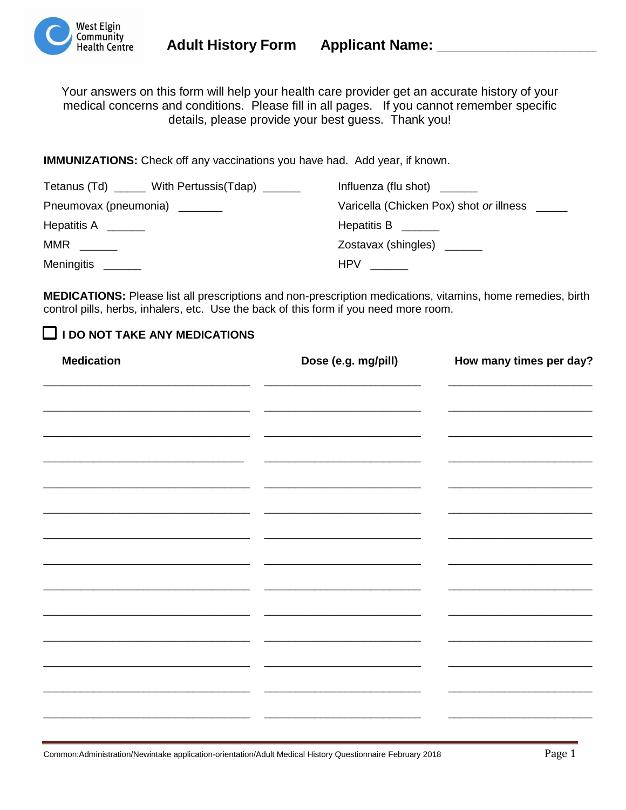

Your answers on this form will help your health care provider get an accurate history of your medical concerns and conditions. Please fill in all pages. If you cannot remember specific details, please provide your best guess. Thank you!

**IMMUNIZATIONS:** Check off any vaccinations you have had. Add year, if known.

| Tetanus (Td) ______ With Pertussis(Tdap) ______ | Influenza (flu shot) $\frac{1}{\sqrt{1-\frac{1}{\sqrt{1-\frac{1}{\sqrt{1-\frac{1}{\sqrt{1-\frac{1}{\sqrt{1-\frac{1}{\sqrt{1-\frac{1}{\sqrt{1-\frac{1}{\sqrt{1-\frac{1}{\sqrt{1-\frac{1}{\sqrt{1-\frac{1}{\sqrt{1-\frac{1}{\sqrt{1-\frac{1}{\sqrt{1-\frac{1}{\sqrt{1-\frac{1}{\sqrt{1-\frac{1}{\sqrt{1-\frac{1}{\sqrt{1-\frac{1}{\sqrt{1-\frac{1}{\sqrt{1-\frac{1}{\sqrt{1-\frac{1}{\sqrt{1-\frac{1}{\sqrt{1-\$ |
|-------------------------------------------------|----------------------------------------------------------------------------------------------------------------------------------------------------------------------------------------------------------------------------------------------------------------------------------------------------------------------------------------------------------------------------------------------------------------|
| Pneumovax (pneumonia) ______                    | Varicella (Chicken Pox) shot or illness _____                                                                                                                                                                                                                                                                                                                                                                  |
| Hepatitis A _______                             | Hepatitis B ______                                                                                                                                                                                                                                                                                                                                                                                             |
|                                                 | Zostavax (shingles) ______                                                                                                                                                                                                                                                                                                                                                                                     |
| Meningitis _______                              | <b>HPV</b>                                                                                                                                                                                                                                                                                                                                                                                                     |

**MEDICATIONS:** Please list all prescriptions and non-prescription medications, vitamins, home remedies, birth control pills, herbs, inhalers, etc. Use the back of this form if you need more room.

### **I DO NOT TAKE ANY MEDICATIONS**

| <b>Medication</b> | Dose (e.g. mg/pill) |  |  |  |
|-------------------|---------------------|--|--|--|
|                   |                     |  |  |  |
|                   |                     |  |  |  |
|                   |                     |  |  |  |
|                   |                     |  |  |  |
|                   |                     |  |  |  |
|                   |                     |  |  |  |
|                   |                     |  |  |  |
|                   |                     |  |  |  |
|                   |                     |  |  |  |
|                   |                     |  |  |  |
|                   |                     |  |  |  |
|                   |                     |  |  |  |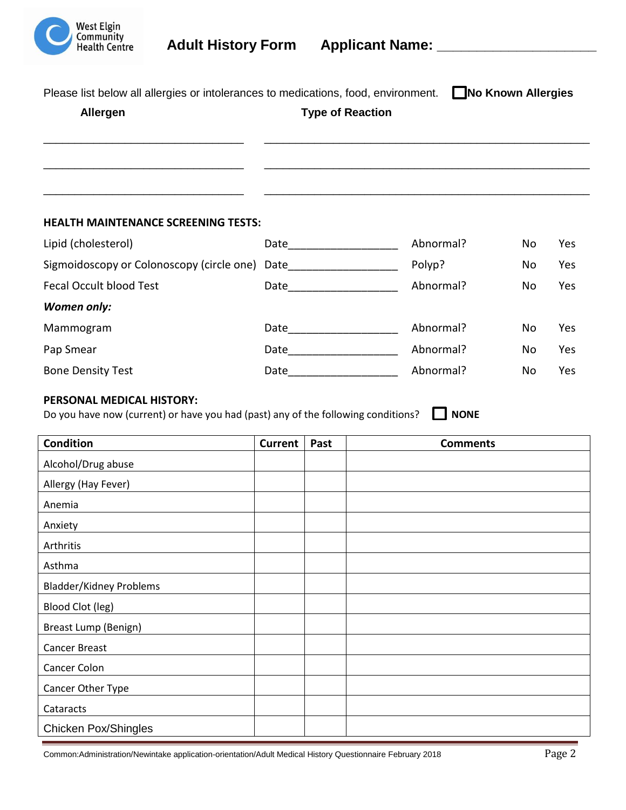

| Please list below all allergies or intolerances to medications, food, environment. | No Known Allergies |
|------------------------------------------------------------------------------------|--------------------|
|------------------------------------------------------------------------------------|--------------------|

# **Allergen Type of Reaction** \_\_\_\_\_\_\_\_\_\_\_\_\_\_\_\_\_\_\_\_\_\_\_\_\_\_\_\_\_\_\_\_ \_\_\_\_\_\_\_\_\_\_\_\_\_\_\_\_\_\_\_\_\_\_\_\_\_\_\_\_\_\_\_\_\_\_\_\_\_\_\_\_\_\_\_\_\_\_\_\_\_\_\_\_ \_\_\_\_\_\_\_\_\_\_\_\_\_\_\_\_\_\_\_\_\_\_\_\_\_\_\_\_\_\_\_\_ \_\_\_\_\_\_\_\_\_\_\_\_\_\_\_\_\_\_\_\_\_\_\_\_\_\_\_\_\_\_\_\_\_\_\_\_\_\_\_\_\_\_\_\_\_\_\_\_\_\_\_\_ \_\_\_\_\_\_\_\_\_\_\_\_\_\_\_\_\_\_\_\_\_\_\_\_\_\_\_\_\_\_\_\_ \_\_\_\_\_\_\_\_\_\_\_\_\_\_\_\_\_\_\_\_\_\_\_\_\_\_\_\_\_\_\_\_\_\_\_\_\_\_\_\_\_\_\_\_\_\_\_\_\_\_\_\_

#### **HEALTH MAINTENANCE SCREENING TESTS:**

| Lipid (cholesterol)                            | Date | Abnormal? | No | Yes        |
|------------------------------------------------|------|-----------|----|------------|
| Sigmoidoscopy or Colonoscopy (circle one) Date |      | Polyp?    | No | Yes        |
| <b>Fecal Occult blood Test</b>                 | Date | Abnormal? | No | Yes        |
| <b>Women only:</b>                             |      |           |    |            |
| Mammogram                                      | Date | Abnormal? | No | <b>Yes</b> |
| Pap Smear                                      | Date | Abnormal? | No | Yes        |
| <b>Bone Density Test</b>                       | Date | Abnormal? | No | Yes        |

### **PERSONAL MEDICAL HISTORY:**

Do you have now (current) or have you had (past) any of the following conditions? **NONE** 

| <b>Condition</b>               | <b>Current</b> | Past | <b>Comments</b> |
|--------------------------------|----------------|------|-----------------|
| Alcohol/Drug abuse             |                |      |                 |
| Allergy (Hay Fever)            |                |      |                 |
| Anemia                         |                |      |                 |
| Anxiety                        |                |      |                 |
| Arthritis                      |                |      |                 |
| Asthma                         |                |      |                 |
| <b>Bladder/Kidney Problems</b> |                |      |                 |
| <b>Blood Clot (leg)</b>        |                |      |                 |
| Breast Lump (Benign)           |                |      |                 |
| <b>Cancer Breast</b>           |                |      |                 |
| Cancer Colon                   |                |      |                 |
| Cancer Other Type              |                |      |                 |
| Cataracts                      |                |      |                 |
| Chicken Pox/Shingles           |                |      |                 |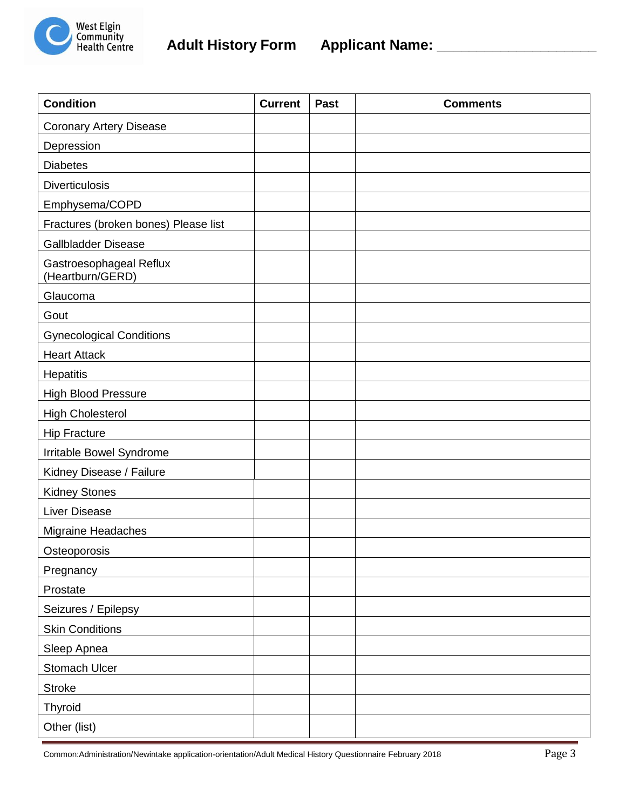

| <b>Condition</b>                            | <b>Current</b> | Past | <b>Comments</b> |
|---------------------------------------------|----------------|------|-----------------|
| <b>Coronary Artery Disease</b>              |                |      |                 |
| Depression                                  |                |      |                 |
| <b>Diabetes</b>                             |                |      |                 |
| <b>Diverticulosis</b>                       |                |      |                 |
| Emphysema/COPD                              |                |      |                 |
| Fractures (broken bones) Please list        |                |      |                 |
| <b>Gallbladder Disease</b>                  |                |      |                 |
| Gastroesophageal Reflux<br>(Heartburn/GERD) |                |      |                 |
| Glaucoma                                    |                |      |                 |
| Gout                                        |                |      |                 |
| <b>Gynecological Conditions</b>             |                |      |                 |
| <b>Heart Attack</b>                         |                |      |                 |
| <b>Hepatitis</b>                            |                |      |                 |
| <b>High Blood Pressure</b>                  |                |      |                 |
| <b>High Cholesterol</b>                     |                |      |                 |
| <b>Hip Fracture</b>                         |                |      |                 |
| Irritable Bowel Syndrome                    |                |      |                 |
| Kidney Disease / Failure                    |                |      |                 |
| <b>Kidney Stones</b>                        |                |      |                 |
| <b>Liver Disease</b>                        |                |      |                 |
| Migraine Headaches                          |                |      |                 |
| Osteoporosis                                |                |      |                 |
| Pregnancy                                   |                |      |                 |
| Prostate                                    |                |      |                 |
| Seizures / Epilepsy                         |                |      |                 |
| <b>Skin Conditions</b>                      |                |      |                 |
| Sleep Apnea                                 |                |      |                 |
| Stomach Ulcer                               |                |      |                 |
| <b>Stroke</b>                               |                |      |                 |
| <b>Thyroid</b>                              |                |      |                 |
| Other (list)                                |                |      |                 |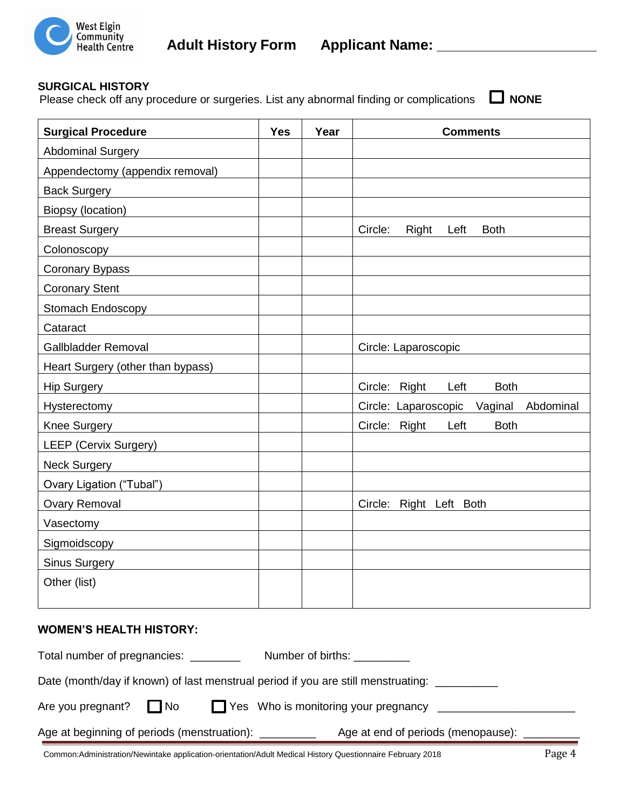

### **SURGICAL HISTORY**

Please check off any procedure or surgeries. List any abnormal finding or complications  $\Box$  NONE

| <b>Surgical Procedure</b>          | <b>Yes</b> | Year | <b>Comments</b>                         |
|------------------------------------|------------|------|-----------------------------------------|
| <b>Abdominal Surgery</b>           |            |      |                                         |
| Appendectomy (appendix removal)    |            |      |                                         |
| <b>Back Surgery</b>                |            |      |                                         |
| Biopsy (location)                  |            |      |                                         |
| <b>Breast Surgery Example 2019</b> |            |      | Circle:<br>Right<br><b>Both</b><br>Left |
| Colonoscopy                        |            |      |                                         |
| Coronary Bypass                    |            |      |                                         |
| <b>Coronary Stent</b>              |            |      |                                         |
| Stomach Endoscopy                  |            |      |                                         |
| Cataract                           |            |      |                                         |
| Gallbladder Removal                |            |      | Circle: Laparoscopic                    |
| Heart Surgery (other than bypass)  |            |      |                                         |
| Hip Surgery <b>All Accords</b>     |            |      | Circle: Right<br>Left<br><b>Both</b>    |
| Hysterectomy                       |            |      | Circle: Laparoscopic Vaginal Abdominal  |
| Knee Surgery                       |            |      | Circle: Right<br>Left<br><b>Both</b>    |
| <b>LEEP (Cervix Surgery)</b>       |            |      |                                         |
| <b>Neck Surgery</b>                |            |      |                                         |
| Ovary Ligation ("Tubal")           |            |      |                                         |
| <b>Ovary Removal</b>               |            |      | Circle: Right Left Both                 |
| Vasectomy                          |            |      |                                         |
| Sigmoidscopy                       |            |      |                                         |
| <b>Sinus Surgery</b>               |            |      |                                         |
| Other (list)                       |            |      |                                         |
|                                    |            |      |                                         |

#### **WOMEN'S HEALTH HISTORY:**

| Total number of pregnancies: ________                 |      | Number of births: ___                                                             |                                           |
|-------------------------------------------------------|------|-----------------------------------------------------------------------------------|-------------------------------------------|
|                                                       |      | Date (month/day if known) of last menstrual period if you are still menstruating: |                                           |
| Are you pregnant?                                     | I No | Yes Who is monitoring your pregnancy                                              |                                           |
| Age at beginning of periods (menstruation): _________ |      |                                                                                   | Age at end of periods (menopause): ______ |

Common:Administration/Newintake application-orientation/Adult Medical History Questionnaire February 2018 Page 4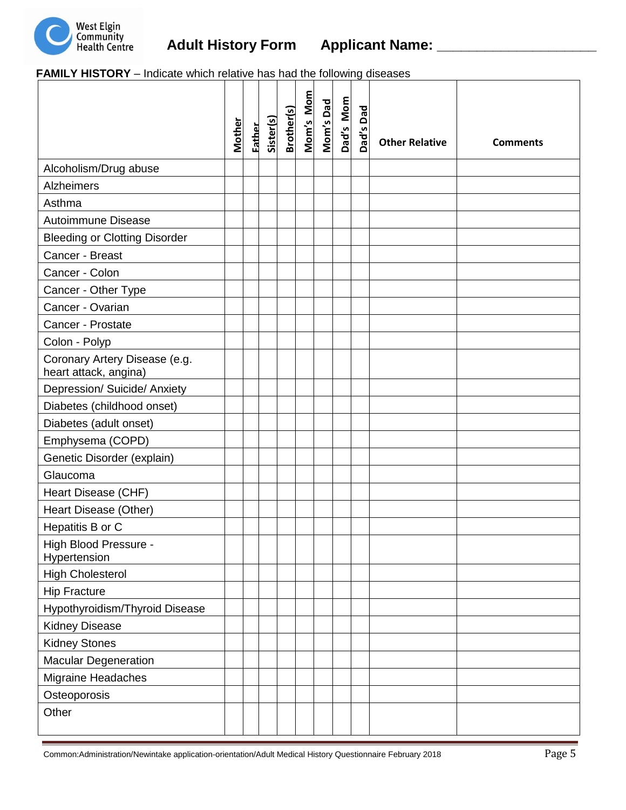

 **FAMILY HISTORY** – Indicate which relative has had the following diseases

|                                                        | Mother | Father | Sister(s) | <b>Brother(s)</b> | Mom's Mom | Mom's Dad | Dad's Mom | Dad's Dad | <b>Other Relative</b> | <b>Comments</b> |
|--------------------------------------------------------|--------|--------|-----------|-------------------|-----------|-----------|-----------|-----------|-----------------------|-----------------|
| Alcoholism/Drug abuse                                  |        |        |           |                   |           |           |           |           |                       |                 |
| Alzheimers                                             |        |        |           |                   |           |           |           |           |                       |                 |
| Asthma                                                 |        |        |           |                   |           |           |           |           |                       |                 |
| <b>Autoimmune Disease</b>                              |        |        |           |                   |           |           |           |           |                       |                 |
| <b>Bleeding or Clotting Disorder</b>                   |        |        |           |                   |           |           |           |           |                       |                 |
| Cancer - Breast                                        |        |        |           |                   |           |           |           |           |                       |                 |
| Cancer - Colon                                         |        |        |           |                   |           |           |           |           |                       |                 |
| Cancer - Other Type                                    |        |        |           |                   |           |           |           |           |                       |                 |
| Cancer - Ovarian                                       |        |        |           |                   |           |           |           |           |                       |                 |
| Cancer - Prostate                                      |        |        |           |                   |           |           |           |           |                       |                 |
| Colon - Polyp                                          |        |        |           |                   |           |           |           |           |                       |                 |
| Coronary Artery Disease (e.g.<br>heart attack, angina) |        |        |           |                   |           |           |           |           |                       |                 |
| Depression/ Suicide/ Anxiety                           |        |        |           |                   |           |           |           |           |                       |                 |
| Diabetes (childhood onset)                             |        |        |           |                   |           |           |           |           |                       |                 |
| Diabetes (adult onset)                                 |        |        |           |                   |           |           |           |           |                       |                 |
| Emphysema (COPD)                                       |        |        |           |                   |           |           |           |           |                       |                 |
| Genetic Disorder (explain)                             |        |        |           |                   |           |           |           |           |                       |                 |
| Glaucoma                                               |        |        |           |                   |           |           |           |           |                       |                 |
| Heart Disease (CHF)                                    |        |        |           |                   |           |           |           |           |                       |                 |
| Heart Disease (Other)                                  |        |        |           |                   |           |           |           |           |                       |                 |
| Hepatitis B or C                                       |        |        |           |                   |           |           |           |           |                       |                 |
| High Blood Pressure -<br>Hypertension                  |        |        |           |                   |           |           |           |           |                       |                 |
| <b>High Cholesterol</b>                                |        |        |           |                   |           |           |           |           |                       |                 |
| <b>Hip Fracture</b>                                    |        |        |           |                   |           |           |           |           |                       |                 |
| Hypothyroidism/Thyroid Disease                         |        |        |           |                   |           |           |           |           |                       |                 |
| <b>Kidney Disease</b>                                  |        |        |           |                   |           |           |           |           |                       |                 |
| <b>Kidney Stones</b>                                   |        |        |           |                   |           |           |           |           |                       |                 |
| Macular Degeneration                                   |        |        |           |                   |           |           |           |           |                       |                 |
| Migraine Headaches                                     |        |        |           |                   |           |           |           |           |                       |                 |
| Osteoporosis                                           |        |        |           |                   |           |           |           |           |                       |                 |
| Other                                                  |        |        |           |                   |           |           |           |           |                       |                 |

Common:Administration/Newintake application-orientation/Adult Medical History Questionnaire February 2018 Page 5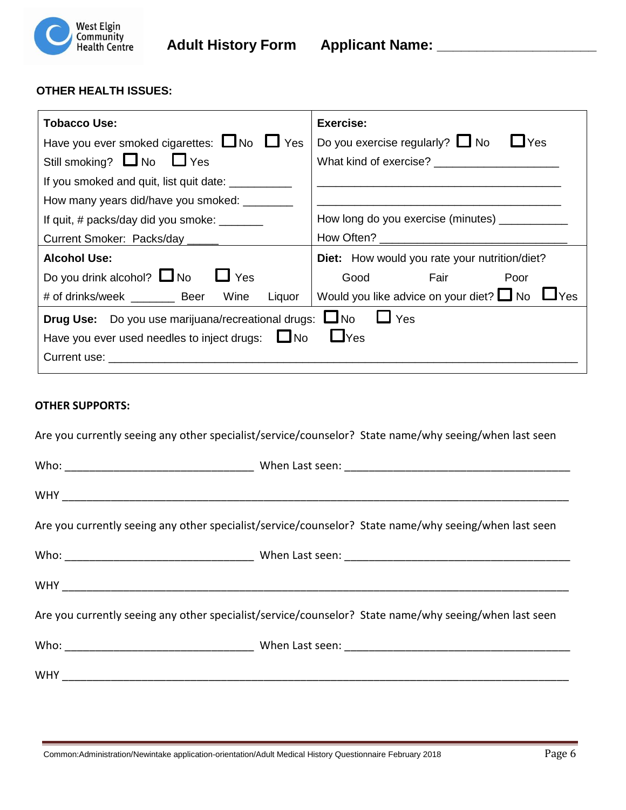

#### **OTHER HEALTH ISSUES:**

| Tobacco Use:                                           | Exercise:                                            |
|--------------------------------------------------------|------------------------------------------------------|
| Have you ever smoked cigarettes: $\Box$ No $\Box$ Yes  | Yes<br>Do you exercise regularly? $\Box$ No          |
| Still smoking? U No U Yes                              | What kind of exercise?                               |
| If you smoked and quit, list quit date: ___________    |                                                      |
| How many years did/have you smoked:                    |                                                      |
| If quit, $\#$ packs/day did you smoke: $\_\_$          | How long do you exercise (minutes) ___________       |
| Current Smoker: Packs/day _____                        |                                                      |
| <b>Alcohol Use:</b>                                    | <b>Diet:</b> How would you rate your nutrition/diet? |
| Do you drink alcohol? $\Box$ No<br>$\Box$ Yes          | Fair<br>Good<br>Poor                                 |
| # of drinks/week __________ Beer Wine<br>Liquor        | Would you like advice on your diet? $\Box$ No $\Box$ |
| Drug Use: Do you use marijuana/recreational drugs: UNo | $\Box$ Yes                                           |
| Have you ever used needles to inject drugs: $\Box$ No  | $L$ Yes                                              |
| Current use:                                           |                                                      |

#### **OTHER SUPPORTS:**

Are you currently seeing any other specialist/service/counselor? State name/why seeing/when last seen

| Are you currently seeing any other specialist/service/counselor? State name/why seeing/when last seen |
|-------------------------------------------------------------------------------------------------------|
|                                                                                                       |
|                                                                                                       |
| Are you currently seeing any other specialist/service/counselor? State name/why seeing/when last seen |
|                                                                                                       |
|                                                                                                       |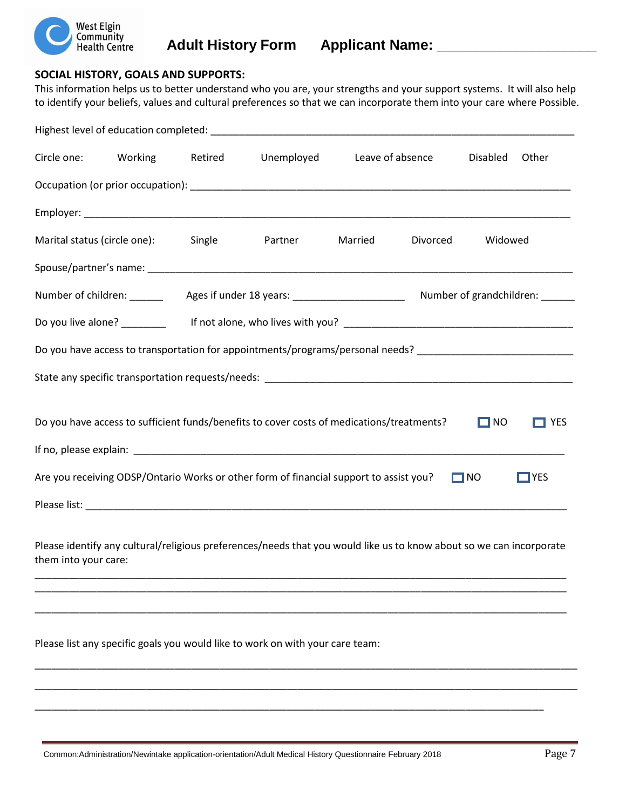

## Community<br>
Health Centre **Adult History Form Applicant Name:** \_\_\_\_\_\_\_\_\_\_\_\_\_\_\_\_\_\_\_\_\_\_\_\_\_\_\_\_\_\_

#### **SOCIAL HISTORY, GOALS AND SUPPORTS:**

This information helps us to better understand who you are, your strengths and your support systems. It will also help to identify your beliefs, values and cultural preferences so that we can incorporate them into your care where Possible.

|                                                                                  | Circle one: Working Retired |  | Unemployed                                                                                                    | Leave of absence |  | Disabled  | Other      |  |
|----------------------------------------------------------------------------------|-----------------------------|--|---------------------------------------------------------------------------------------------------------------|------------------|--|-----------|------------|--|
|                                                                                  |                             |  |                                                                                                               |                  |  |           |            |  |
|                                                                                  |                             |  |                                                                                                               |                  |  |           |            |  |
| Marital status (circle one): Single<br>Widowed<br>Partner<br>Married<br>Divorced |                             |  |                                                                                                               |                  |  |           |            |  |
|                                                                                  |                             |  |                                                                                                               |                  |  |           |            |  |
|                                                                                  |                             |  |                                                                                                               |                  |  |           |            |  |
|                                                                                  |                             |  |                                                                                                               |                  |  |           |            |  |
|                                                                                  |                             |  | Do you have access to transportation for appointments/programs/personal needs? ______________________________ |                  |  |           |            |  |
|                                                                                  |                             |  |                                                                                                               |                  |  |           |            |  |
|                                                                                  |                             |  |                                                                                                               |                  |  |           |            |  |
|                                                                                  |                             |  | Do you have access to sufficient funds/benefits to cover costs of medications/treatments?                     |                  |  | $\Box$ NO | <b>YES</b> |  |
|                                                                                  |                             |  |                                                                                                               |                  |  |           |            |  |
|                                                                                  |                             |  | Are you receiving ODSP/Ontario Works or other form of financial support to assist you?                        |                  |  | $\Box$ NO | $\Box$ YES |  |
|                                                                                  |                             |  |                                                                                                               |                  |  |           |            |  |
|                                                                                  |                             |  |                                                                                                               |                  |  |           |            |  |

Please identify any cultural/religious preferences/needs that you would like us to know about so we can incorporate them into your care:

\_\_\_\_\_\_\_\_\_\_\_\_\_\_\_\_\_\_\_\_\_\_\_\_\_\_\_\_\_\_\_\_\_\_\_\_\_\_\_\_\_\_\_\_\_\_\_\_\_\_\_\_\_\_\_\_\_\_\_\_\_\_\_\_\_\_\_\_\_\_\_\_\_\_\_\_\_\_\_\_\_\_\_\_\_\_\_\_\_\_\_\_\_\_\_ \_\_\_\_\_\_\_\_\_\_\_\_\_\_\_\_\_\_\_\_\_\_\_\_\_\_\_\_\_\_\_\_\_\_\_\_\_\_\_\_\_\_\_\_\_\_\_\_\_\_\_\_\_\_\_\_\_\_\_\_\_\_\_\_\_\_\_\_\_\_\_\_\_\_\_\_\_\_\_\_\_\_\_\_\_\_\_\_\_\_\_\_\_\_\_

\_\_\_\_\_\_\_\_\_\_\_\_\_\_\_\_\_\_\_\_\_\_\_\_\_\_\_\_\_\_\_\_\_\_\_\_\_\_\_\_\_\_\_\_\_\_\_\_\_\_\_\_\_\_\_\_\_\_\_\_\_\_\_\_\_\_\_\_\_\_\_\_\_\_\_\_\_\_\_\_\_\_\_\_\_\_\_\_\_\_\_\_\_\_\_

\_\_\_\_\_\_\_\_\_\_\_\_\_\_\_\_\_\_\_\_\_\_\_\_\_\_\_\_\_\_\_\_\_\_\_\_\_\_\_\_\_\_\_\_\_\_\_\_\_\_\_\_\_\_\_\_\_\_\_\_\_\_\_\_\_\_\_\_\_\_\_\_\_\_\_\_\_\_\_\_\_\_\_\_\_\_\_\_\_\_\_\_\_\_\_\_\_

\_\_\_\_\_\_\_\_\_\_\_\_\_\_\_\_\_\_\_\_\_\_\_\_\_\_\_\_\_\_\_\_\_\_\_\_\_\_\_\_\_\_\_\_\_\_\_\_\_\_\_\_\_\_\_\_\_\_\_\_\_\_\_\_\_\_\_\_\_\_\_\_\_\_\_\_\_\_\_\_\_\_\_\_\_\_\_\_\_\_\_\_\_\_\_\_\_

\_\_\_\_\_\_\_\_\_\_\_\_\_\_\_\_\_\_\_\_\_\_\_\_\_\_\_\_\_\_\_\_\_\_\_\_\_\_\_\_\_\_\_\_\_\_\_\_\_\_\_\_\_\_\_\_\_\_\_\_\_\_\_\_\_\_\_\_\_\_\_\_\_\_\_\_\_\_\_\_\_\_\_\_\_\_\_\_\_\_\_

Please list any specific goals you would like to work on with your care team: